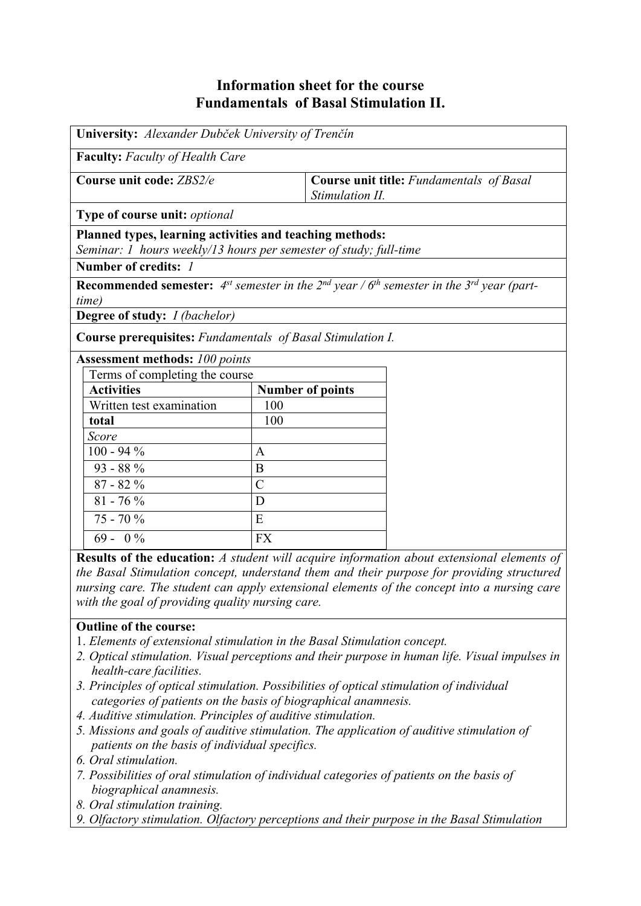# **Information sheet for the course Fundamentals of Basal Stimulation II.**

| University: Alexander Dubček University of Trenčín                                                                            |                         |                                                                                                                                       |  |
|-------------------------------------------------------------------------------------------------------------------------------|-------------------------|---------------------------------------------------------------------------------------------------------------------------------------|--|
| <b>Faculty:</b> Faculty of Health Care                                                                                        |                         |                                                                                                                                       |  |
| Course unit code: ZBS2/e                                                                                                      |                         | <b>Course unit title:</b> Fundamentals of Basal<br>Stimulation II.                                                                    |  |
| <b>Type of course unit:</b> <i>optional</i>                                                                                   |                         |                                                                                                                                       |  |
| Planned types, learning activities and teaching methods:<br>Seminar: 1 hours weekly/13 hours per semester of study; full-time |                         |                                                                                                                                       |  |
| Number of credits: 1                                                                                                          |                         |                                                                                                                                       |  |
|                                                                                                                               |                         | <b>Recommended semester:</b> 4 <sup>st</sup> semester in the 2 <sup>nd</sup> year / $6th$ semester in the 3 <sup>rd</sup> year (part- |  |
| time)                                                                                                                         |                         |                                                                                                                                       |  |
| <b>Degree of study:</b> <i>I (bachelor)</i>                                                                                   |                         |                                                                                                                                       |  |
| <b>Course prerequisites:</b> Fundamentals of Basal Stimulation I.                                                             |                         |                                                                                                                                       |  |
| <b>Assessment methods: 100 points</b>                                                                                         |                         |                                                                                                                                       |  |
| Terms of completing the course                                                                                                |                         |                                                                                                                                       |  |
| <b>Activities</b>                                                                                                             | <b>Number of points</b> |                                                                                                                                       |  |
| Written test examination                                                                                                      | 100                     |                                                                                                                                       |  |
| total                                                                                                                         | 100                     |                                                                                                                                       |  |
| Score                                                                                                                         |                         |                                                                                                                                       |  |
| $100 - 94 %$                                                                                                                  | $\mathbf{A}$            |                                                                                                                                       |  |
| $93 - 88\%$                                                                                                                   | B                       |                                                                                                                                       |  |
| $87 - 82 \%$                                                                                                                  | $\overline{C}$          |                                                                                                                                       |  |
| $81 - 76\%$                                                                                                                   | D                       |                                                                                                                                       |  |
| 75 - 70 %                                                                                                                     | E                       |                                                                                                                                       |  |
| $69 - 0\%$                                                                                                                    | <b>FX</b>               |                                                                                                                                       |  |

**Results of the education:** *A student will acquire information about extensional elements of the Basal Stimulation concept, understand them and their purpose for providing structured nursing care. The student can apply extensional elements of the concept into a nursing care with the goal of providing quality nursing care.*

## **Outline of the course:**

- 1. *Elements of extensional stimulation in the Basal Stimulation concept.*
- *2. Optical stimulation. Visual perceptions and their purpose in human life. Visual impulses in health-care facilities.*
- *3. Principles of optical stimulation. Possibilities of optical stimulation of individual categories of patients on the basis of biographical anamnesis.*
- *4. Auditive stimulation. Principles of auditive stimulation.*
- *5. Missions and goals of auditive stimulation. The application of auditive stimulation of patients on the basis of individual specifics.*
- *6. Oral stimulation.*
- *7. Possibilities of oral stimulation of individual categories of patients on the basis of biographical anamnesis.*
- *8. Oral stimulation training.*
- *9. Olfactory stimulation. Olfactory perceptions and their purpose in the Basal Stimulation*